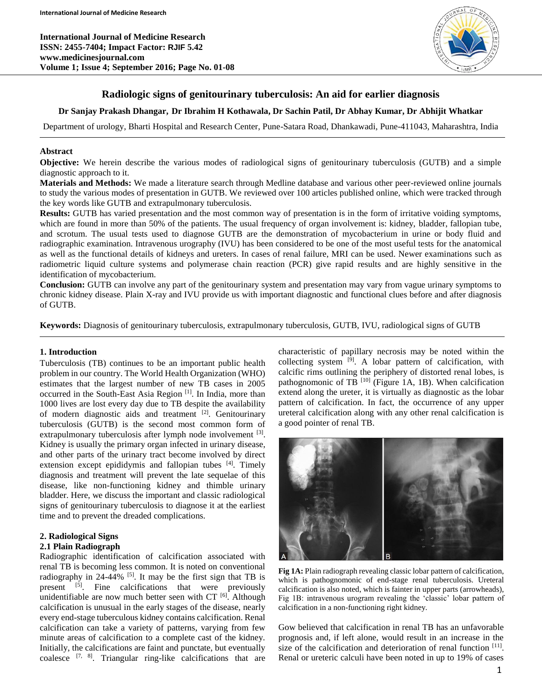**International Journal of Medicine Research ISSN: 2455-7404; Impact Factor: RJIF 5.42 www.medicinesjournal.com Volume 1; Issue 4; September 2016; Page No. 01-08**



### **Radiologic signs of genitourinary tuberculosis: An aid for earlier diagnosis**

# **Dr Sanjay Prakash Dhangar, Dr Ibrahim H Kothawala, Dr Sachin Patil, Dr Abhay Kumar, Dr Abhijit Whatkar**

Department of urology, Bharti Hospital and Research Center, Pune-Satara Road, Dhankawadi, Pune-411043, Maharashtra, India

### **Abstract**

**Objective:** We herein describe the various modes of radiological signs of genitourinary tuberculosis (GUTB) and a simple diagnostic approach to it.

**Materials and Methods:** We made a literature search through Medline database and various other peer-reviewed online journals to study the various modes of presentation in GUTB. We reviewed over 100 articles published online, which were tracked through the key words like GUTB and extrapulmonary tuberculosis.

**Results:** GUTB has varied presentation and the most common way of presentation is in the form of irritative voiding symptoms, which are found in more than 50% of the patients. The usual frequency of organ involvement is: kidney, bladder, fallopian tube, and scrotum. The usual tests used to diagnose GUTB are the demonstration of mycobacterium in urine or body fluid and radiographic examination. Intravenous urography (IVU) has been considered to be one of the most useful tests for the anatomical as well as the functional details of kidneys and ureters. In cases of renal failure, MRI can be used. Newer examinations such as radiometric liquid culture systems and polymerase chain reaction (PCR) give rapid results and are highly sensitive in the identification of mycobacterium.

**Conclusion:** GUTB can involve any part of the genitourinary system and presentation may vary from vague urinary symptoms to chronic kidney disease. Plain X-ray and IVU provide us with important diagnostic and functional clues before and after diagnosis of GUTB.

**Keywords:** Diagnosis of genitourinary tuberculosis, extrapulmonary tuberculosis, GUTB, IVU, radiological signs of GUTB

### **1. Introduction**

Tuberculosis (TB) continues to be an important public health problem in our country. The World Health Organization (WHO) estimates that the largest number of new TB cases in 2005 occurred in the South-East Asia Region<sup>[1]</sup>. In India, more than 1000 lives are lost every day due to TB despite the availability of modern diagnostic aids and treatment [2]. Genitourinary tuberculosis (GUTB) is the second most common form of extrapulmonary tuberculosis after lymph node involvement <sup>[3]</sup>. Kidney is usually the primary organ infected in urinary disease, and other parts of the urinary tract become involved by direct extension except epididymis and fallopian tubes [4]. Timely diagnosis and treatment will prevent the late sequelae of this disease, like non-functioning kidney and thimble urinary bladder. Here, we discuss the important and classic radiological signs of genitourinary tuberculosis to diagnose it at the earliest time and to prevent the dreaded complications.

### **2. Radiological Signs**

#### **2.1 Plain Radiograph**

Radiographic identification of calcification associated with renal TB is becoming less common. It is noted on conventional radiography in  $24-44\%$  <sup>[5]</sup>. It may be the first sign that TB is present <sup>[5]</sup>. Fine calcifications that were previously unidentifiable are now much better seen with  $CT$ <sup>[6]</sup>. Although calcification is unusual in the early stages of the disease, nearly every end-stage tuberculous kidney contains calcification. Renal calcification can take a variety of patterns, varying from few minute areas of calcification to a complete cast of the kidney. Initially, the calcifications are faint and punctate, but eventually coalesce  $[7, 8]$ . Triangular ring-like calcifications that are characteristic of papillary necrosis may be noted within the collecting system <sup>[9]</sup>. A lobar pattern of calcification, with calcific rims outlining the periphery of distorted renal lobes, is pathognomonic of TB  $^{[10]}$  (Figure 1A, 1B). When calcification extend along the ureter, it is virtually as diagnostic as the lobar pattern of calcification. In fact, the occurrence of any upper ureteral calcification along with any other renal calcification is a good pointer of renal TB.



**Fig 1A:** Plain radiograph revealing classic lobar pattern of calcification, which is pathognomonic of end-stage renal tuberculosis. Ureteral calcification is also noted, which is fainter in upper parts (arrowheads), Fig 1B: intravenous urogram revealing the 'classic' lobar pattern of calcification in a non-functioning right kidney.

Gow believed that calcification in renal TB has an unfavorable prognosis and, if left alone, would result in an increase in the size of the calcification and deterioration of renal function [11]. Renal or ureteric calculi have been noted in up to 19% of cases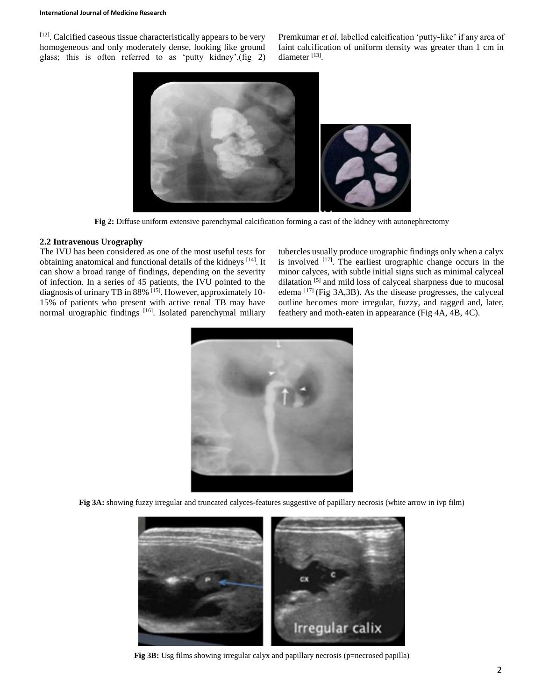[12]. Calcified caseous tissue characteristically appears to be very homogeneous and only moderately dense, looking like ground glass; this is often referred to as 'putty kidney'.(fig 2)

Premkumar *et al*. labelled calcification 'putty-like' if any area of faint calcification of uniform density was greater than 1 cm in diameter<sup>[13]</sup>.



**Fig 2:** Diffuse uniform extensive parenchymal calcification forming a cast of the kidney with autonephrectomy

#### **2.2 Intravenous Urography**

The IVU has been considered as one of the most useful tests for obtaining anatomical and functional details of the kidneys [14]. It can show a broad range of findings, depending on the severity of infection. In a series of 45 patients, the IVU pointed to the diagnosis of urinary TB in 88% [15]. However, approximately 10-15% of patients who present with active renal TB may have normal urographic findings [16]. Isolated parenchymal miliary

tubercles usually produce urographic findings only when a calyx is involved  $[17]$ . The earliest urographic change occurs in the minor calyces, with subtle initial signs such as minimal calyceal dilatation [5] and mild loss of calyceal sharpness due to mucosal edema  $^{[17]}$  (Fig 3A,3B). As the disease progresses, the calyceal outline becomes more irregular, fuzzy, and ragged and, later, feathery and moth-eaten in appearance (Fig 4A, 4B, 4C).



**Fig 3A:** showing fuzzy irregular and truncated calyces-features suggestive of papillary necrosis (white arrow in ivp film)



Fig 3B: Usg films showing irregular calyx and papillary necrosis (p=necrosed papilla)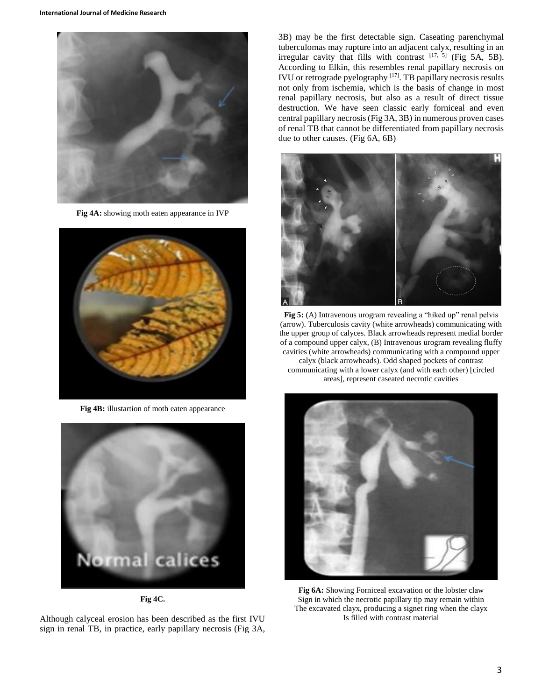

**Fig 4A:** showing moth eaten appearance in IVP



**Fig 4B:** illustartion of moth eaten appearance



**Fig 4C.**

Although calyceal erosion has been described as the first IVU sign in renal TB, in practice, early papillary necrosis (Fig 3A, 3B) may be the first detectable sign. Caseating parenchymal tuberculomas may rupture into an adjacent calyx, resulting in an irregular cavity that fills with contrast  $[17, 5]$  (Fig 5A, 5B). According to Elkin, this resembles renal papillary necrosis on IVU or retrograde pyelography  $[17]$ . TB papillary necrosis results not only from ischemia, which is the basis of change in most renal papillary necrosis, but also as a result of direct tissue destruction. We have seen classic early forniceal and even central papillary necrosis (Fig 3A, 3B) in numerous proven cases of renal TB that cannot be differentiated from papillary necrosis due to other causes. (Fig 6A, 6B)



**Fig 5:** (A) Intravenous urogram revealing a "hiked up" renal pelvis (arrow). Tuberculosis cavity (white arrowheads) communicating with the upper group of calyces. Black arrowheads represent medial border of a compound upper calyx, (B) Intravenous urogram revealing fluffy cavities (white arrowheads) communicating with a compound upper calyx (black arrowheads). Odd shaped pockets of contrast communicating with a lower calyx (and with each other) [circled areas], represent caseated necrotic cavities



**Fig 6A:** Showing Forniceal excavation or the lobster claw Sign in which the necrotic papillary tip may remain within The excavated clayx, producing a signet ring when the clayx Is filled with contrast material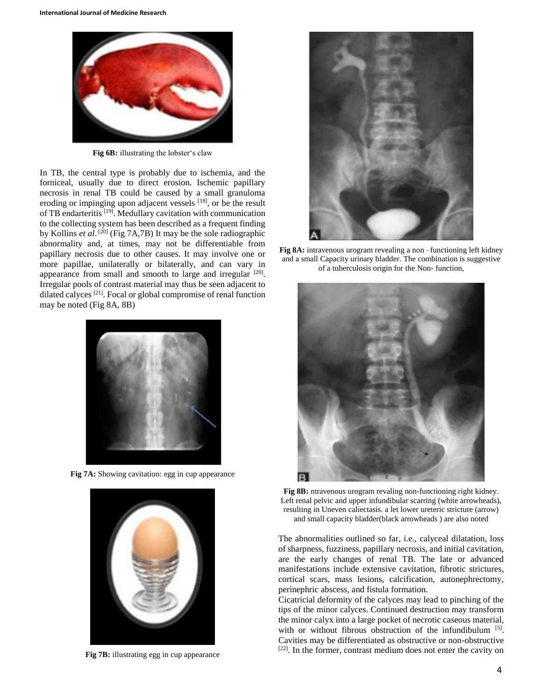

**Fig 6B:** illustrating the lobster's claw

In TB, the central type is probably due to ischemia, and the forniceal, usually due to direct erosion. Ischemic papillary necrosis in renal TB could be caused by a small granuloma eroding or impinging upon adjacent vessels [18], or be the result of TB endarteritis [19]. Medullary cavitation with communication to the collecting system has been described as a frequent finding by Kollins *et al*. [20] (Fig 7A,7B) It may be the sole radiographic abnormality and, at times, may not be differentiable from papillary necrosis due to other causes. It may involve one or more papillae, unilaterally or bilaterally, and can vary in appearance from small and smooth to large and irregular [20]. Irregular pools of contrast material may thus be seen adjacent to dilated calyces<sup>[21]</sup>. Focal or global compromise of renal function may be noted (Fig 8A, 8B)



**Fig 7A:** Showing cavitation: egg in cup appearance



**Fig 7B:** illustrating egg in cup appearance



**Fig 8A:** intravenous urogram revealing a non –functioning left kidney and a small Capacity urinary bladder. The combination is suggestive of a tuberculosis origin for the Non- function,



**Fig 8B:** ntravenous urogram revaling non-functioning right kidney. Left renal pelvic and upper infundibular scarring (white arrowheads), resulting in Uneven caliectasis. a let lower ureteric stricture (arrow) and small capacity bladder(black arrowheads ) are also noted

The abnormalities outlined so far, i.e., calyceal dilatation, loss of sharpness, fuzziness, papillary necrosis, and initial cavitation, are the early changes of renal TB. The late or advanced manifestations include extensive cavitation, fibrotic strictures, cortical scars, mass lesions, calcification, autonephrectomy, perinephric abscess, and fistula formation.

Cicatricial deformity of the calyces may lead to pinching of the tips of the minor calyces. Continued destruction may transform the minor calyx into a large pocket of necrotic caseous material, with or without fibrous obstruction of the infundibulum [5]. Cavities may be differentiated as obstructive or non-obstructive [22]. In the former, contrast medium does not enter the cavity on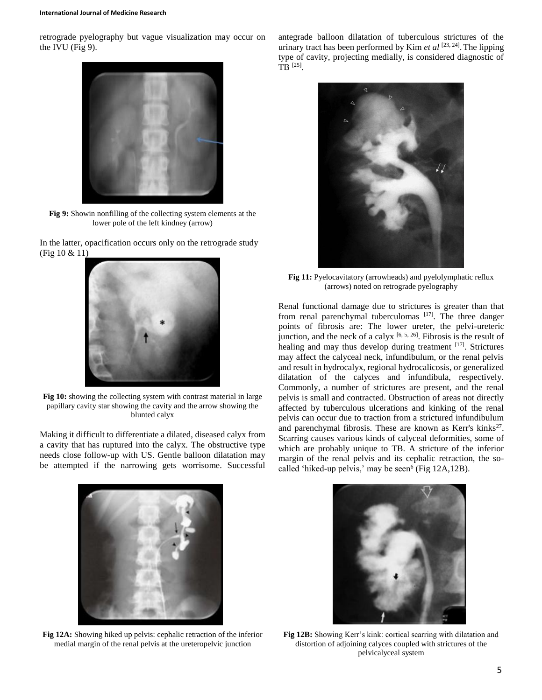retrograde pyelography but vague visualization may occur on the IVU (Fig 9).



**Fig 9:** Showin nonfilling of the collecting system elements at the lower pole of the left kindney (arrow)

In the latter, opacification occurs only on the retrograde study (Fig 10 & 11)



**Fig 10:** showing the collecting system with contrast material in large papillary cavity star showing the cavity and the arrow showing the blunted calyx

Making it difficult to differentiate a dilated, diseased calyx from a cavity that has ruptured into the calyx. The obstructive type needs close follow-up with US. Gentle balloon dilatation may be attempted if the narrowing gets worrisome. Successful





**Fig 11:** Pyelocavitatory (arrowheads) and pyelolymphatic reflux (arrows) noted on retrograde pyelography

Renal functional damage due to strictures is greater than that from renal parenchymal tuberculomas [17]. The three danger points of fibrosis are: The lower ureter, the pelvi-ureteric junction, and the neck of a calyx  $[6, 5, 26]$ . Fibrosis is the result of healing and may thus develop during treatment [17]. Strictures may affect the calyceal neck, infundibulum, or the renal pelvis and result in hydrocalyx, regional hydrocalicosis, or generalized dilatation of the calyces and infundibula, respectively. Commonly, a number of strictures are present, and the renal pelvis is small and contracted. Obstruction of areas not directly affected by tuberculous ulcerations and kinking of the renal pelvis can occur due to traction from a strictured infundibulum and parenchymal fibrosis. These are known as Kerr's kinks $27$ . Scarring causes various kinds of calyceal deformities, some of which are probably unique to TB. A stricture of the inferior margin of the renal pelvis and its cephalic retraction, the socalled 'hiked-up pelvis,' may be seen $<sup>6</sup>$  (Fig 12A,12B).</sup>



**Fig 12A:** Showing hiked up pelvis: cephalic retraction of the inferior medial margin of the renal pelvis at the ureteropelvic junction



**Fig 12B:** Showing Kerr's kink: cortical scarring with dilatation and distortion of adjoining calyces coupled with strictures of the pelvicalyceal system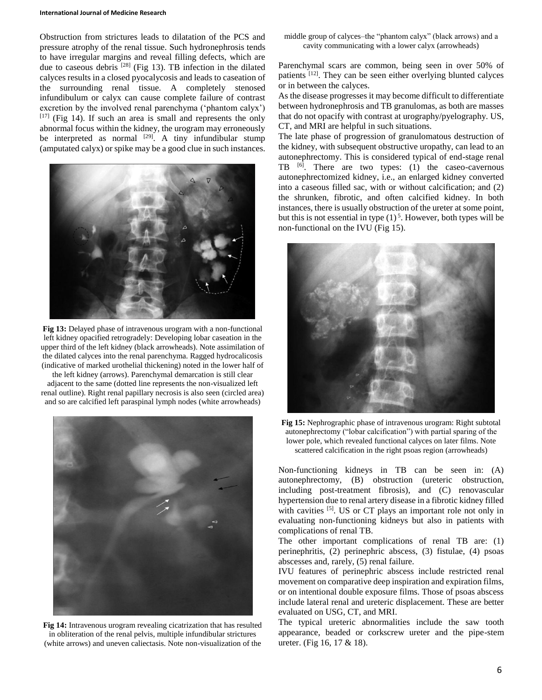#### **International Journal of Medicine Research**

Obstruction from strictures leads to dilatation of the PCS and pressure atrophy of the renal tissue. Such hydronephrosis tends to have irregular margins and reveal filling defects, which are due to caseous debris <sup>[28]</sup> (Fig 13). TB infection in the dilated calyces results in a closed pyocalycosis and leads to caseation of the surrounding renal tissue. A completely stenosed infundibulum or calyx can cause complete failure of contrast excretion by the involved renal parenchyma ('phantom calyx')  $[17]$  (Fig 14). If such an area is small and represents the only abnormal focus within the kidney, the urogram may erroneously be interpreted as normal  $[29]$ . A tiny infundibular stump (amputated calyx) or spike may be a good clue in such instances.



**Fig 13:** Delayed phase of intravenous urogram with a non-functional left kidney opacified retrogradely: Developing lobar caseation in the upper third of the left kidney (black arrowheads). Note assimilation of the dilated calyces into the renal parenchyma. Ragged hydrocalicosis (indicative of marked urothelial thickening) noted in the lower half of

the left kidney (arrows). Parenchymal demarcation is still clear adjacent to the same (dotted line represents the non-visualized left renal outline). Right renal papillary necrosis is also seen (circled area) and so are calcified left paraspinal lymph nodes (white arrowheads)



**Fig 14:** Intravenous urogram revealing cicatrization that has resulted in obliteration of the renal pelvis, multiple infundibular strictures (white arrows) and uneven caliectasis. Note non-visualization of the

middle group of calyces–the "phantom calyx" (black arrows) and a cavity communicating with a lower calyx (arrowheads)

Parenchymal scars are common, being seen in over 50% of patients <sup>[12]</sup>. They can be seen either overlying blunted calyces or in between the calyces.

As the disease progresses it may become difficult to differentiate between hydronephrosis and TB granulomas, as both are masses that do not opacify with contrast at urography/pyelography. US, CT, and MRI are helpful in such situations.

The late phase of progression of granulomatous destruction of the kidney, with subsequent obstructive uropathy, can lead to an autonephrectomy. This is considered typical of end-stage renal TB  $^{[6]}$ . There are two types: (1) the caseo-cavernous autonephrectomized kidney, i.e., an enlarged kidney converted into a caseous filled sac, with or without calcification; and (2) the shrunken, fibrotic, and often calcified kidney. In both instances, there is usually obstruction of the ureter at some point, but this is not essential in type  $(1)^5$ . However, both types will be non-functional on the IVU (Fig 15).



**Fig 15:** Nephrographic phase of intravenous urogram: Right subtotal autonephrectomy ("lobar calcification") with partial sparing of the lower pole, which revealed functional calyces on later films. Note scattered calcification in the right psoas region (arrowheads)

Non-functioning kidneys in TB can be seen in: (A) autonephrectomy, (B) obstruction (ureteric obstruction, including post-treatment fibrosis), and (C) renovascular hypertension due to renal artery disease in a fibrotic kidney filled with cavities <sup>[5]</sup>. US or CT plays an important role not only in evaluating non-functioning kidneys but also in patients with complications of renal TB.

The other important complications of renal TB are: (1) perinephritis, (2) perinephric abscess, (3) fistulae, (4) psoas abscesses and, rarely, (5) renal failure.

IVU features of perinephric abscess include restricted renal movement on comparative deep inspiration and expiration films, or on intentional double exposure films. Those of psoas abscess include lateral renal and ureteric displacement. These are better evaluated on USG, CT, and MRI.

The typical ureteric abnormalities include the saw tooth appearance, beaded or corkscrew ureter and the pipe-stem ureter. (Fig 16, 17 & 18).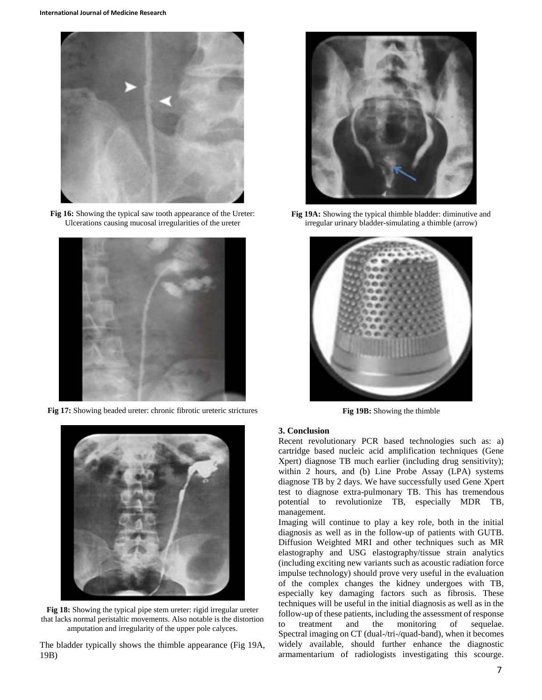

**Fig 16:** Showing the typical saw tooth appearance of the Ureter: Ulcerations causing mucosal irregularities of the ureter



**Fig 17:** Showing beaded ureter: chronic fibrotic ureteric strictures



**Fig 18:** Showing the typical pipe stem ureter: rigid irregular ureter that lacks normal peristaltic movements. Also notable is the distortion amputation and irregularity of the upper pole calyces.

The bladder typically shows the thimble appearance (Fig 19A, 19B)



**Fig 19A:** Showing the typical thimble bladder: diminutive and irregular urinary bladder-simulating a thimble (arrow)



**Fig 19B:** Showing the thimble

#### **3. Conclusion**

Recent revolutionary PCR based technologies such as: a) cartridge based nucleic acid amplification techniques (Gene Xpert) diagnose TB much earlier (including drug sensitivity); within 2 hours, and (b) Line Probe Assay (LPA) systems diagnose TB by 2 days. We have successfully used Gene Xpert test to diagnose extra-pulmonary TB. This has tremendous potential to revolutionize TB, especially MDR TB, management.

Imaging will continue to play a key role, both in the initial diagnosis as well as in the follow-up of patients with GUTB. Diffusion Weighted MRI and other techniques such as MR elastography and USG elastography/tissue strain analytics (including exciting new variants such as acoustic radiation force impulse technology) should prove very useful in the evaluation of the complex changes the kidney undergoes with TB, especially key damaging factors such as fibrosis. These techniques will be useful in the initial diagnosis as well as in the follow-up of these patients, including the assessment of response to treatment and the monitoring of sequelae. Spectral imaging on CT (dual-/tri-/quad-band), when it becomes widely available, should further enhance the diagnostic armamentarium of radiologists investigating this scourge.